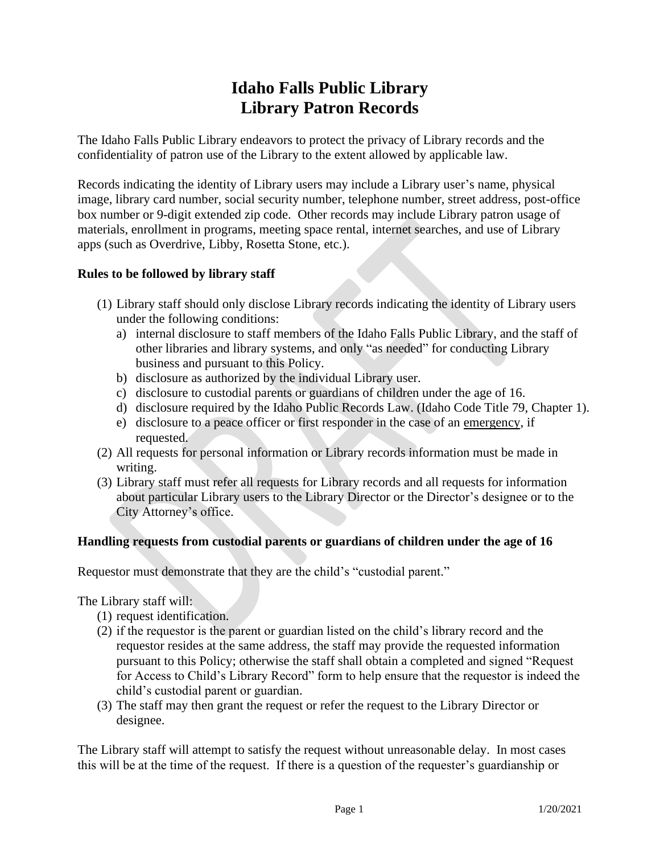## **Idaho Falls Public Library Library Patron Records**

The Idaho Falls Public Library endeavors to protect the privacy of Library records and the confidentiality of patron use of the Library to the extent allowed by applicable law.

Records indicating the identity of Library users may include a Library user's name, physical image, library card number, social security number, telephone number, street address, post-office box number or 9-digit extended zip code. Other records may include Library patron usage of materials, enrollment in programs, meeting space rental, internet searches, and use of Library apps (such as Overdrive, Libby, Rosetta Stone, etc.).

## **Rules to be followed by library staff**

- (1) Library staff should only disclose Library records indicating the identity of Library users under the following conditions:
	- a) internal disclosure to staff members of the Idaho Falls Public Library, and the staff of other libraries and library systems, and only "as needed" for conducting Library business and pursuant to this Policy.
	- b) disclosure as authorized by the individual Library user.
	- c) disclosure to custodial parents or guardians of children under the age of 16.
	- d) disclosure required by the Idaho Public Records Law. (Idaho Code Title 79, Chapter 1).
	- e) disclosure to a peace officer or first responder in the case of an emergency, if requested.
- (2) All requests for personal information or Library records information must be made in writing.
- (3) Library staff must refer all requests for Library records and all requests for information about particular Library users to the Library Director or the Director's designee or to the City Attorney's office.

## **Handling requests from custodial parents or guardians of children under the age of 16**

Requestor must demonstrate that they are the child's "custodial parent."

The Library staff will:

- (1) request identification.
- (2) if the requestor is the parent or guardian listed on the child's library record and the requestor resides at the same address, the staff may provide the requested information pursuant to this Policy; otherwise the staff shall obtain a completed and signed "Request for Access to Child's Library Record" form to help ensure that the requestor is indeed the child's custodial parent or guardian.
- (3) The staff may then grant the request or refer the request to the Library Director or designee.

The Library staff will attempt to satisfy the request without unreasonable delay. In most cases this will be at the time of the request. If there is a question of the requester's guardianship or